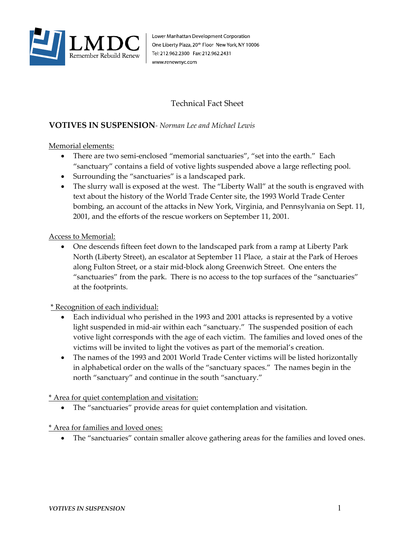

Lower Manhattan Development Corporation One Liberty Plaza, 20<sup>th</sup> Floor New York, NY 10006 Tel: 212.962.2300 Fax: 212.962.2431 www.renewnyc.com

# Technical Fact Sheet

# **VOTIVES IN SUSPENSION***- Norman Lee and Michael Lewis*

## Memorial elements:

- There are two semi-enclosed "memorial sanctuaries", "set into the earth." Each "sanctuary" contains a field of votive lights suspended above a large reflecting pool.
- Surrounding the "sanctuaries" is a landscaped park.
- The slurry wall is exposed at the west. The "Liberty Wall" at the south is engraved with text about the history of the World Trade Center site, the 1993 World Trade Center bombing, an account of the attacks in New York, Virginia, and Pennsylvania on Sept. 11, 2001, and the efforts of the rescue workers on September 11, 2001.

## Access to Memorial:

• One descends fifteen feet down to the landscaped park from a ramp at Liberty Park North (Liberty Street), an escalator at September 11 Place, a stair at the Park of Heroes along Fulton Street, or a stair mid-block along Greenwich Street. One enters the "sanctuaries" from the park. There is no access to the top surfaces of the "sanctuaries" at the footprints.

## \* Recognition of each individual:

- Each individual who perished in the 1993 and 2001 attacks is represented by a votive light suspended in mid-air within each "sanctuary." The suspended position of each votive light corresponds with the age of each victim. The families and loved ones of the victims will be invited to light the votives as part of the memorial's creation.
- The names of the 1993 and 2001 World Trade Center victims will be listed horizontally in alphabetical order on the walls of the "sanctuary spaces." The names begin in the north "sanctuary" and continue in the south "sanctuary."

#### \* Area for quiet contemplation and visitation:

• The "sanctuaries" provide areas for quiet contemplation and visitation.

#### \* Area for families and loved ones:

• The "sanctuaries" contain smaller alcove gathering areas for the families and loved ones.